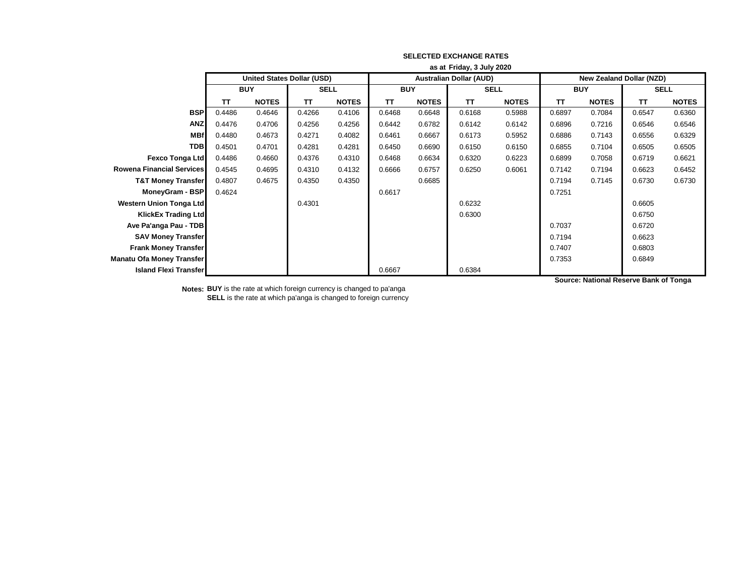|                                  | as at Friday, 3 July 2020 |                                   |             |              |            |              |                                |              |                                 |              |             |              |
|----------------------------------|---------------------------|-----------------------------------|-------------|--------------|------------|--------------|--------------------------------|--------------|---------------------------------|--------------|-------------|--------------|
|                                  |                           | <b>United States Dollar (USD)</b> |             |              |            |              | <b>Australian Dollar (AUD)</b> |              | <b>New Zealand Dollar (NZD)</b> |              |             |              |
|                                  | <b>BUY</b>                |                                   | <b>SELL</b> |              | <b>BUY</b> |              | <b>SELL</b>                    |              | <b>BUY</b>                      |              | <b>SELL</b> |              |
|                                  | TΤ                        | <b>NOTES</b>                      | TT          | <b>NOTES</b> | <b>TT</b>  | <b>NOTES</b> | <b>TT</b>                      | <b>NOTES</b> | TΤ                              | <b>NOTES</b> | <b>TT</b>   | <b>NOTES</b> |
| <b>BSP</b>                       | 0.4486                    | 0.4646                            | 0.4266      | 0.4106       | 0.6468     | 0.6648       | 0.6168                         | 0.5988       | 0.6897                          | 0.7084       | 0.6547      | 0.6360       |
| <b>ANZ</b>                       | 0.4476                    | 0.4706                            | 0.4256      | 0.4256       | 0.6442     | 0.6782       | 0.6142                         | 0.6142       | 0.6896                          | 0.7216       | 0.6546      | 0.6546       |
| <b>MBf</b>                       | 0.4480                    | 0.4673                            | 0.4271      | 0.4082       | 0.6461     | 0.6667       | 0.6173                         | 0.5952       | 0.6886                          | 0.7143       | 0.6556      | 0.6329       |
| <b>TDB</b>                       | 0.4501                    | 0.4701                            | 0.4281      | 0.4281       | 0.6450     | 0.6690       | 0.6150                         | 0.6150       | 0.6855                          | 0.7104       | 0.6505      | 0.6505       |
| <b>Fexco Tonga Ltd</b>           | 0.4486                    | 0.4660                            | 0.4376      | 0.4310       | 0.6468     | 0.6634       | 0.6320                         | 0.6223       | 0.6899                          | 0.7058       | 0.6719      | 0.6621       |
| <b>Rowena Financial Services</b> | 0.4545                    | 0.4695                            | 0.4310      | 0.4132       | 0.6666     | 0.6757       | 0.6250                         | 0.6061       | 0.7142                          | 0.7194       | 0.6623      | 0.6452       |
| <b>T&amp;T Money Transfer</b>    | 0.4807                    | 0.4675                            | 0.4350      | 0.4350       |            | 0.6685       |                                |              | 0.7194                          | 0.7145       | 0.6730      | 0.6730       |
| MoneyGram - BSP                  | 0.4624                    |                                   |             |              | 0.6617     |              |                                |              | 0.7251                          |              |             |              |
| <b>Western Union Tonga Ltd</b>   |                           |                                   | 0.4301      |              |            |              | 0.6232                         |              |                                 |              | 0.6605      |              |
| <b>KlickEx Trading Ltd</b>       |                           |                                   |             |              |            |              | 0.6300                         |              |                                 |              | 0.6750      |              |
| Ave Pa'anga Pau - TDB            |                           |                                   |             |              |            |              |                                |              | 0.7037                          |              | 0.6720      |              |
| <b>SAV Money Transfer</b>        |                           |                                   |             |              |            |              |                                |              | 0.7194                          |              | 0.6623      |              |
| <b>Frank Money Transfer</b>      |                           |                                   |             |              |            |              |                                |              | 0.7407                          |              | 0.6803      |              |
| Manatu Ofa Money Transfer        |                           |                                   |             |              |            |              |                                |              | 0.7353                          |              | 0.6849      |              |
| <b>Island Flexi Transfer</b>     |                           |                                   |             |              | 0.6667     |              | 0.6384                         |              |                                 |              |             |              |

**Notes: BUY** is the rate at which foreign currency is changed to pa'anga **SELL** is the rate at which pa'anga is changed to foreign currency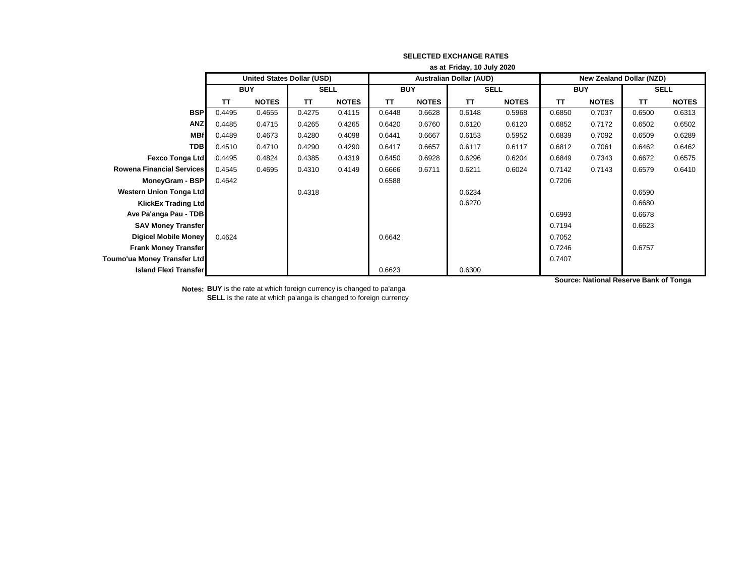|                                    | as at Friday, 10 July 2020 |                                   |             |              |                                |              |             |              |                                 |              |             |              |
|------------------------------------|----------------------------|-----------------------------------|-------------|--------------|--------------------------------|--------------|-------------|--------------|---------------------------------|--------------|-------------|--------------|
|                                    |                            | <b>United States Dollar (USD)</b> |             |              | <b>Australian Dollar (AUD)</b> |              |             |              | <b>New Zealand Dollar (NZD)</b> |              |             |              |
|                                    | <b>BUY</b>                 |                                   | <b>SELL</b> |              | <b>BUY</b>                     |              | <b>SELL</b> |              | <b>BUY</b>                      |              | <b>SELL</b> |              |
|                                    | TΤ                         | <b>NOTES</b>                      | <b>TT</b>   | <b>NOTES</b> | <b>TT</b>                      | <b>NOTES</b> | <b>TT</b>   | <b>NOTES</b> | <b>TT</b>                       | <b>NOTES</b> | <b>TT</b>   | <b>NOTES</b> |
| <b>BSP</b>                         | 0.4495                     | 0.4655                            | 0.4275      | 0.4115       | 0.6448                         | 0.6628       | 0.6148      | 0.5968       | 0.6850                          | 0.7037       | 0.6500      | 0.6313       |
| <b>ANZ</b>                         | 0.4485                     | 0.4715                            | 0.4265      | 0.4265       | 0.6420                         | 0.6760       | 0.6120      | 0.6120       | 0.6852                          | 0.7172       | 0.6502      | 0.6502       |
| <b>MBf</b>                         | 0.4489                     | 0.4673                            | 0.4280      | 0.4098       | 0.6441                         | 0.6667       | 0.6153      | 0.5952       | 0.6839                          | 0.7092       | 0.6509      | 0.6289       |
| <b>TDB</b>                         | 0.4510                     | 0.4710                            | 0.4290      | 0.4290       | 0.6417                         | 0.6657       | 0.6117      | 0.6117       | 0.6812                          | 0.7061       | 0.6462      | 0.6462       |
| <b>Fexco Tonga Ltd</b>             | 0.4495                     | 0.4824                            | 0.4385      | 0.4319       | 0.6450                         | 0.6928       | 0.6296      | 0.6204       | 0.6849                          | 0.7343       | 0.6672      | 0.6575       |
| <b>Rowena Financial Services</b>   | 0.4545                     | 0.4695                            | 0.4310      | 0.4149       | 0.6666                         | 0.6711       | 0.6211      | 0.6024       | 0.7142                          | 0.7143       | 0.6579      | 0.6410       |
| MoneyGram - BSP                    | 0.4642                     |                                   |             |              | 0.6588                         |              |             |              | 0.7206                          |              |             |              |
| Western Union Tonga Ltd            |                            |                                   | 0.4318      |              |                                |              | 0.6234      |              |                                 |              | 0.6590      |              |
| <b>KlickEx Trading Ltd</b>         |                            |                                   |             |              |                                |              | 0.6270      |              |                                 |              | 0.6680      |              |
| Ave Pa'anga Pau - TDB              |                            |                                   |             |              |                                |              |             |              | 0.6993                          |              | 0.6678      |              |
| <b>SAV Money Transfer</b>          |                            |                                   |             |              |                                |              |             |              | 0.7194                          |              | 0.6623      |              |
| Digicel Mobile Money               | 0.4624                     |                                   |             |              | 0.6642                         |              |             |              | 0.7052                          |              |             |              |
| <b>Frank Money Transfer</b>        |                            |                                   |             |              |                                |              |             |              | 0.7246                          |              | 0.6757      |              |
| <b>Toumo'ua Money Transfer Ltd</b> |                            |                                   |             |              |                                |              |             |              | 0.7407                          |              |             |              |
| <b>Island Flexi Transfer</b>       |                            |                                   |             |              | 0.6623                         |              | 0.6300      |              |                                 |              |             |              |

**Notes: BUY** is the rate at which foreign currency is changed to pa'anga **SELL** is the rate at which pa'anga is changed to foreign currency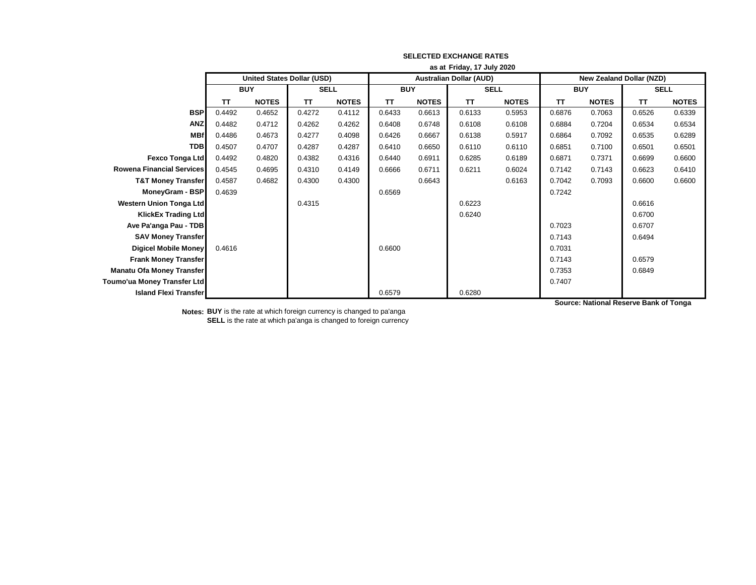|                                  | as at Friday, 17 July 2020 |                                   |             |              |                                |              |             |              |                                 |              |             |              |
|----------------------------------|----------------------------|-----------------------------------|-------------|--------------|--------------------------------|--------------|-------------|--------------|---------------------------------|--------------|-------------|--------------|
|                                  |                            | <b>United States Dollar (USD)</b> |             |              | <b>Australian Dollar (AUD)</b> |              |             |              | <b>New Zealand Dollar (NZD)</b> |              |             |              |
|                                  |                            | <b>BUY</b>                        | <b>SELL</b> |              | <b>BUY</b>                     |              | <b>SELL</b> |              | <b>BUY</b>                      |              | <b>SELL</b> |              |
|                                  | TT                         | <b>NOTES</b>                      | <b>TT</b>   | <b>NOTES</b> | ΤT                             | <b>NOTES</b> | <b>TT</b>   | <b>NOTES</b> | TΤ                              | <b>NOTES</b> | <b>TT</b>   | <b>NOTES</b> |
| <b>BSP</b>                       | 0.4492                     | 0.4652                            | 0.4272      | 0.4112       | 0.6433                         | 0.6613       | 0.6133      | 0.5953       | 0.6876                          | 0.7063       | 0.6526      | 0.6339       |
| <b>ANZ</b>                       | 0.4482                     | 0.4712                            | 0.4262      | 0.4262       | 0.6408                         | 0.6748       | 0.6108      | 0.6108       | 0.6884                          | 0.7204       | 0.6534      | 0.6534       |
| <b>MBf</b>                       | 0.4486                     | 0.4673                            | 0.4277      | 0.4098       | 0.6426                         | 0.6667       | 0.6138      | 0.5917       | 0.6864                          | 0.7092       | 0.6535      | 0.6289       |
| <b>TDB</b>                       | 0.4507                     | 0.4707                            | 0.4287      | 0.4287       | 0.6410                         | 0.6650       | 0.6110      | 0.6110       | 0.6851                          | 0.7100       | 0.6501      | 0.6501       |
| <b>Fexco Tonga Ltd</b>           | 0.4492                     | 0.4820                            | 0.4382      | 0.4316       | 0.6440                         | 0.6911       | 0.6285      | 0.6189       | 0.6871                          | 0.7371       | 0.6699      | 0.6600       |
| <b>Rowena Financial Services</b> | 0.4545                     | 0.4695                            | 0.4310      | 0.4149       | 0.6666                         | 0.6711       | 0.6211      | 0.6024       | 0.7142                          | 0.7143       | 0.6623      | 0.6410       |
| <b>T&amp;T Money Transfer</b>    | 0.4587                     | 0.4682                            | 0.4300      | 0.4300       |                                | 0.6643       |             | 0.6163       | 0.7042                          | 0.7093       | 0.6600      | 0.6600       |
| MoneyGram - BSP                  | 0.4639                     |                                   |             |              | 0.6569                         |              |             |              | 0.7242                          |              |             |              |
| <b>Western Union Tonga Ltd</b>   |                            |                                   | 0.4315      |              |                                |              | 0.6223      |              |                                 |              | 0.6616      |              |
| <b>KlickEx Trading Ltd</b>       |                            |                                   |             |              |                                |              | 0.6240      |              |                                 |              | 0.6700      |              |
| Ave Pa'anga Pau - TDB            |                            |                                   |             |              |                                |              |             |              | 0.7023                          |              | 0.6707      |              |
| <b>SAV Money Transfer</b>        |                            |                                   |             |              |                                |              |             |              | 0.7143                          |              | 0.6494      |              |
| <b>Digicel Mobile Money</b>      | 0.4616                     |                                   |             |              | 0.6600                         |              |             |              | 0.7031                          |              |             |              |
| <b>Frank Money Transfer</b>      |                            |                                   |             |              |                                |              |             |              | 0.7143                          |              | 0.6579      |              |
| <b>Manatu Ofa Money Transfer</b> |                            |                                   |             |              |                                |              |             |              | 0.7353                          |              | 0.6849      |              |
| Toumo'ua Money Transfer Ltd      |                            |                                   |             |              |                                |              |             |              | 0.7407                          |              |             |              |
| <b>Island Flexi Transfer</b>     |                            |                                   |             |              | 0.6579                         |              | 0.6280      |              |                                 |              |             |              |

**Notes: BUY** is the rate at which foreign currency is changed to pa'anga **SELL** is the rate at which pa'anga is changed to foreign currency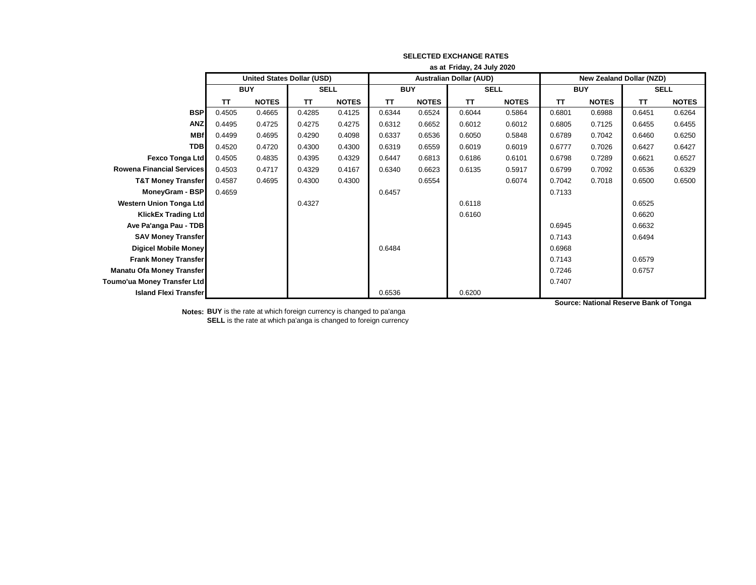|                                  | as at Friday, 24 July 2020 |                                   |             |              |                                |              |             |              |                                 |              |             |              |
|----------------------------------|----------------------------|-----------------------------------|-------------|--------------|--------------------------------|--------------|-------------|--------------|---------------------------------|--------------|-------------|--------------|
|                                  |                            | <b>United States Dollar (USD)</b> |             |              | <b>Australian Dollar (AUD)</b> |              |             |              | <b>New Zealand Dollar (NZD)</b> |              |             |              |
|                                  |                            | <b>BUY</b>                        | <b>SELL</b> |              | <b>BUY</b>                     |              | <b>SELL</b> |              | <b>BUY</b>                      |              | <b>SELL</b> |              |
|                                  | <b>TT</b>                  | <b>NOTES</b>                      | <b>TT</b>   | <b>NOTES</b> | TΤ                             | <b>NOTES</b> | <b>TT</b>   | <b>NOTES</b> | <b>TT</b>                       | <b>NOTES</b> | <b>TT</b>   | <b>NOTES</b> |
| <b>BSP</b>                       | 0.4505                     | 0.4665                            | 0.4285      | 0.4125       | 0.6344                         | 0.6524       | 0.6044      | 0.5864       | 0.6801                          | 0.6988       | 0.6451      | 0.6264       |
| <b>ANZ</b>                       | 0.4495                     | 0.4725                            | 0.4275      | 0.4275       | 0.6312                         | 0.6652       | 0.6012      | 0.6012       | 0.6805                          | 0.7125       | 0.6455      | 0.6455       |
| <b>MBf</b>                       | 0.4499                     | 0.4695                            | 0.4290      | 0.4098       | 0.6337                         | 0.6536       | 0.6050      | 0.5848       | 0.6789                          | 0.7042       | 0.6460      | 0.6250       |
| <b>TDB</b>                       | 0.4520                     | 0.4720                            | 0.4300      | 0.4300       | 0.6319                         | 0.6559       | 0.6019      | 0.6019       | 0.6777                          | 0.7026       | 0.6427      | 0.6427       |
| <b>Fexco Tonga Ltd</b>           | 0.4505                     | 0.4835                            | 0.4395      | 0.4329       | 0.6447                         | 0.6813       | 0.6186      | 0.6101       | 0.6798                          | 0.7289       | 0.6621      | 0.6527       |
| <b>Rowena Financial Services</b> | 0.4503                     | 0.4717                            | 0.4329      | 0.4167       | 0.6340                         | 0.6623       | 0.6135      | 0.5917       | 0.6799                          | 0.7092       | 0.6536      | 0.6329       |
| <b>T&amp;T Money Transfer</b>    | 0.4587                     | 0.4695                            | 0.4300      | 0.4300       |                                | 0.6554       |             | 0.6074       | 0.7042                          | 0.7018       | 0.6500      | 0.6500       |
| MoneyGram - BSP                  | 0.4659                     |                                   |             |              | 0.6457                         |              |             |              | 0.7133                          |              |             |              |
| <b>Western Union Tonga Ltd</b>   |                            |                                   | 0.4327      |              |                                |              | 0.6118      |              |                                 |              | 0.6525      |              |
| <b>KlickEx Trading Ltd</b>       |                            |                                   |             |              |                                |              | 0.6160      |              |                                 |              | 0.6620      |              |
| Ave Pa'anga Pau - TDB            |                            |                                   |             |              |                                |              |             |              | 0.6945                          |              | 0.6632      |              |
| <b>SAV Money Transfer</b>        |                            |                                   |             |              |                                |              |             |              | 0.7143                          |              | 0.6494      |              |
| <b>Digicel Mobile Money</b>      |                            |                                   |             |              | 0.6484                         |              |             |              | 0.6968                          |              |             |              |
| <b>Frank Money Transfer</b>      |                            |                                   |             |              |                                |              |             |              | 0.7143                          |              | 0.6579      |              |
| <b>Manatu Ofa Money Transfer</b> |                            |                                   |             |              |                                |              |             |              | 0.7246                          |              | 0.6757      |              |
| Toumo'ua Money Transfer Ltd      |                            |                                   |             |              |                                |              |             |              | 0.7407                          |              |             |              |
| <b>Island Flexi Transfer</b>     |                            |                                   |             |              | 0.6536                         |              | 0.6200      |              |                                 |              |             |              |

**Notes: BUY** is the rate at which foreign currency is changed to pa'anga **SELL** is the rate at which pa'anga is changed to foreign currency